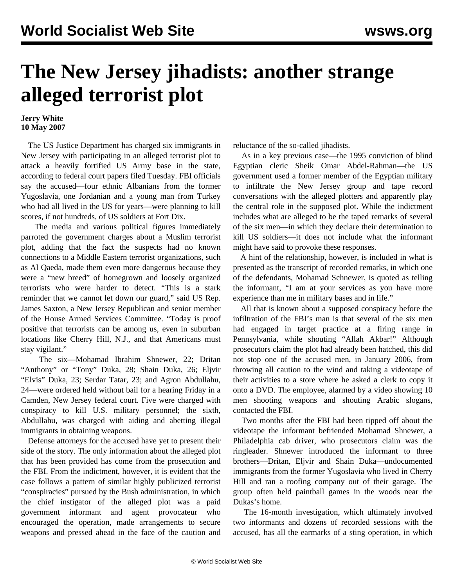## **The New Jersey jihadists: another strange alleged terrorist plot**

## **Jerry White 10 May 2007**

 The US Justice Department has charged six immigrants in New Jersey with participating in an alleged terrorist plot to attack a heavily fortified US Army base in the state, according to federal court papers filed Tuesday. FBI officials say the accused—four ethnic Albanians from the former Yugoslavia, one Jordanian and a young man from Turkey who had all lived in the US for years—were planning to kill scores, if not hundreds, of US soldiers at Fort Dix.

 The media and various political figures immediately parroted the government charges about a Muslim terrorist plot, adding that the fact the suspects had no known connections to a Middle Eastern terrorist organizations, such as Al Qaeda, made them even more dangerous because they were a "new breed" of homegrown and loosely organized terrorists who were harder to detect. "This is a stark reminder that we cannot let down our guard," said US Rep. James Saxton, a New Jersey Republican and senior member of the House Armed Services Committee. "Today is proof positive that terrorists can be among us, even in suburban locations like Cherry Hill, N.J., and that Americans must stay vigilant."

 The six—Mohamad Ibrahim Shnewer, 22; Dritan "Anthony" or "Tony" Duka, 28; Shain Duka, 26; Eljvir "Elvis" Duka, 23; Serdar Tatar, 23; and Agron Abdullahu, 24—were ordered held without bail for a hearing Friday in a Camden, New Jersey federal court. Five were charged with conspiracy to kill U.S. military personnel; the sixth, Abdullahu, was charged with aiding and abetting illegal immigrants in obtaining weapons.

 Defense attorneys for the accused have yet to present their side of the story. The only information about the alleged plot that has been provided has come from the prosecution and the FBI. From the indictment, however, it is evident that the case follows a pattern of similar highly publicized terrorist "conspiracies" pursued by the Bush administration, in which the chief instigator of the alleged plot was a paid government informant and agent provocateur who encouraged the operation, made arrangements to secure weapons and pressed ahead in the face of the caution and reluctance of the so-called jihadists.

 As in a key previous case—the 1995 conviction of blind Egyptian cleric Sheik Omar Abdel-Rahman—the US government used a former member of the Egyptian military to infiltrate the New Jersey group and tape record conversations with the alleged plotters and apparently play the central role in the supposed plot. While the indictment includes what are alleged to be the taped remarks of several of the six men—in which they declare their determination to kill US soldiers—it does not include what the informant might have said to provoke these responses.

 A hint of the relationship, however, is included in what is presented as the transcript of recorded remarks, in which one of the defendants, Mohamad Schnewer, is quoted as telling the informant, "I am at your services as you have more experience than me in military bases and in life."

 All that is known about a supposed conspiracy before the infiltration of the FBI's man is that several of the six men had engaged in target practice at a firing range in Pennsylvania, while shouting "Allah Akbar!" Although prosecutors claim the plot had already been hatched, this did not stop one of the accused men, in January 2006, from throwing all caution to the wind and taking a videotape of their activities to a store where he asked a clerk to copy it onto a DVD. The employee, alarmed by a video showing 10 men shooting weapons and shouting Arabic slogans, contacted the FBI.

 Two months after the FBI had been tipped off about the videotape the informant befriended Mohamad Shnewer, a Philadelphia cab driver, who prosecutors claim was the ringleader. Shnewer introduced the informant to three brothers—Dritan, Eljvir and Shain Duka—undocumented immigrants from the former Yugoslavia who lived in Cherry Hill and ran a roofing company out of their garage. The group often held paintball games in the woods near the Dukas's home.

 The 16-month investigation, which ultimately involved two informants and dozens of recorded sessions with the accused, has all the earmarks of a sting operation, in which